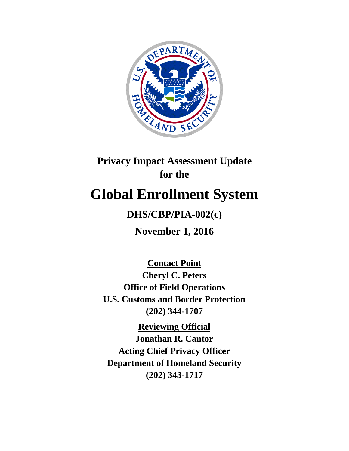

# **Privacy Impact Assessment Update for the**

# **Global Enrollment System**

## **DHS/CBP/PIA-002(c)**

**November 1, 2016**

**Contact Point**

**Cheryl C. Peters Office of Field Operations U.S. Customs and Border Protection (202) 344-1707**

**Reviewing Official Jonathan R. Cantor Acting Chief Privacy Officer Department of Homeland Security (202) 343-1717**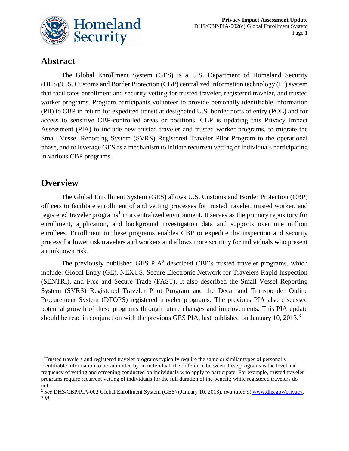

### **Abstract**

The Global Enrollment System (GES) is a U.S. Department of Homeland Security (DHS)/U.S. Customs and Border Protection (CBP) centralized information technology (IT) system that facilitates enrollment and security vetting for trusted traveler, registered traveler, and trusted worker programs. Program participants volunteer to provide personally identifiable information (PII) to CBP in return for expedited transit at designated U.S. border ports of entry (POE) and for access to sensitive CBP-controlled areas or positions. CBP is updating this Privacy Impact Assessment (PIA) to include new trusted traveler and trusted worker programs, to migrate the Small Vessel Reporting System (SVRS) Registered Traveler Pilot Program to the operational phase, and to leverage GES as a mechanism to initiate recurrent vetting of individuals participating in various CBP programs.

### **Overview**

1

The Global Enrollment System (GES) allows U.S. Customs and Border Protection (CBP) officers to facilitate enrollment of and vetting processes for trusted traveler, trusted worker, and registered traveler programs<sup>1</sup> in a centralized environment. It serves as the primary repository for enrollment, application, and background investigation data and supports over one million enrollees. Enrollment in these programs enables CBP to expedite the inspection and security process for lower risk travelers and workers and allows more scrutiny for individuals who present an unknown risk.

The previously published GES  $PIA<sup>2</sup>$  described CBP's trusted traveler programs, which include: Global Entry (GE), NEXUS, Secure Electronic Network for Travelers Rapid Inspection (SENTRI), and Free and Secure Trade (FAST). It also described the Small Vessel Reporting System (SVRS) Registered Traveler Pilot Program and the Decal and Transponder Online Procurement System (DTOPS) registered traveler programs. The previous PIA also discussed potential growth of these programs through future changes and improvements. This PIA update should be read in conjunction with the previous GES PIA, last published on January 10, 2013.<sup>3</sup>

<sup>&</sup>lt;sup>1</sup> Trusted travelers and registered traveler programs typically require the same or similar types of personally identifiable information to be submitted by an individual; the difference between these programs is the level and frequency of vetting and screening conducted on individuals who apply to participate. For example, trusted traveler programs require recurrent vetting of individuals for the full duration of the benefit; while registered travelers do not.

<sup>2</sup> *See* DHS/CBP/PIA-002 Global Enrollment System (GES) (January 10, 2013), *available at* [www.dhs.gov/privacy.](http://www.dhs.gov/privacy)  3 *Id.*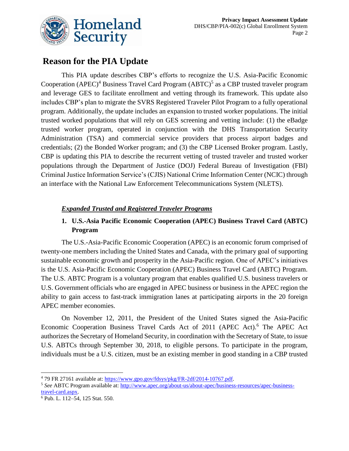

### **Reason for the PIA Update**

This PIA update describes CBP's efforts to recognize the U.S. Asia-Pacific Economic Cooperation (APEC)<sup>4</sup> Business Travel Card Program (ABTC)<sup>5</sup> as a CBP trusted traveler program and leverage GES to facilitate enrollment and vetting through its framework. This update also includes CBP's plan to migrate the SVRS Registered Traveler Pilot Program to a fully operational program. Additionally, the update includes an expansion to trusted worker populations. The initial trusted worked populations that will rely on GES screening and vetting include: (1) the eBadge trusted worker program, operated in conjunction with the DHS Transportation Security Administration (TSA) and commercial service providers that process airport badges and credentials; (2) the Bonded Worker program; and (3) the CBP Licensed Broker program. Lastly, CBP is updating this PIA to describe the recurrent vetting of trusted traveler and trusted worker populations through the Department of Justice (DOJ) Federal Bureau of Investigation (FBI) Criminal Justice Information Service's (CJIS) National Crime Information Center (NCIC) through an interface with the National Law Enforcement Telecommunications System (NLETS).

### *Expanded Trusted and Registered Traveler Programs*

### **1. U.S.-Asia Pacific Economic Cooperation (APEC) Business Travel Card (ABTC) Program**

The U.S.-Asia-Pacific Economic Cooperation (APEC) is an economic forum comprised of twenty-one members including the United States and Canada, with the primary goal of supporting sustainable economic growth and prosperity in the Asia-Pacific region. One of APEC's initiatives is the U.S. Asia-Pacific Economic Cooperation (APEC) Business Travel Card (ABTC) Program. The U.S. ABTC Program is a voluntary program that enables qualified U.S. business travelers or U.S. Government officials who are engaged in APEC business or business in the APEC region the ability to gain access to fast-track immigration lanes at participating airports in the 20 foreign APEC member economies.

On November 12, 2011, the President of the United States signed the Asia-Pacific Economic Cooperation Business Travel Cards Act of 2011 (APEC Act).<sup>6</sup> The APEC Act authorizes the Secretary of Homeland Security, in coordination with the Secretary of State, to issue U.S. ABTCs through September 30, 2018, to eligible persons. To participate in the program, individuals must be a U.S. citizen, must be an existing member in good standing in a CBP trusted

<sup>1</sup> <sup>4</sup> 79 FR 27161 available at: [https://www.gpo.gov/fdsys/pkg/FR-2df/2014-10767.pdf.](https://www.gpo.gov/fdsys/pkg/FR-2014-05-13/pdf/2014-10767.pdf)

<sup>5</sup> *See* ABTC Program available at: [http://www.apec.org/about-us/about-apec/business-resources/apec-business](http://www.apec.org/about-us/about-apec/business-resources/apec-business-travel-card.aspx)[travel-card.aspx.](http://www.apec.org/about-us/about-apec/business-resources/apec-business-travel-card.aspx)

<sup>6</sup> Pub. L. 112–54, 125 Stat. 550.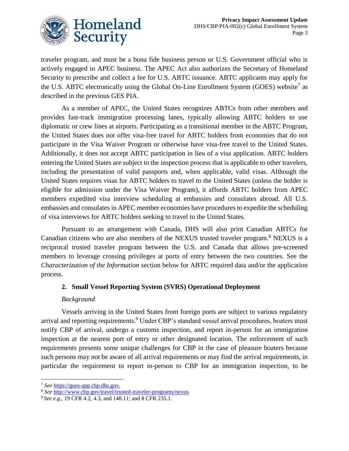

traveler program, and must be a bona fide business person or U.S. Government official who is actively engaged in APEC business. The APEC Act also authorizes the Secretary of Homeland Security to prescribe and collect a fee for U.S. ABTC issuance. ABTC applicants may apply for the U.S. ABTC electronically using the Global On-Line Enrollment System (GOES) website<sup>7</sup> as described in the previous GES PIA.

As a member of APEC, the United States recognizes ABTCs from other members and provides fast-track immigration processing lanes, typically allowing ABTC holders to use diplomatic or crew lines at airports. Participating as a transitional member in the ABTC Program, the United States does not offer visa-free travel for ABTC holders from economies that do not participate in the Visa Waiver Program or otherwise have visa-free travel to the United States. Additionally, it does not accept ABTC participation in lieu of a visa application. ABTC holders entering the United States are subject to the inspection process that is applicable to other travelers, including the presentation of valid passports and, when applicable, valid visas. Although the United States requires visas for ABTC holders to travel to the United States (unless the holder is eligible for admission under the Visa Waiver Program), it affords ABTC holders from APEC members expedited visa interview scheduling at embassies and consulates abroad. All U.S. embassies and consulates in APEC member economies have procedures to expedite the scheduling of visa interviews for ABTC holders seeking to travel to the United States.

Pursuant to an arrangement with Canada, DHS will also print Canadian ABTCs for Canadian citizens who are also members of the NEXUS trusted traveler program.<sup>8</sup> NEXUS is a reciprocal trusted traveler program between the U.S. and Canada that allows pre-screened members to leverage crossing privileges at ports of entry between the two countries. See the *Characterization of the Information* section below for ABTC required data and/or the application process.

#### **2. Small Vessel Reporting System (SVRS) Operational Deployment**

#### *Background*

Vessels arriving in the United States from foreign ports are subject to various regulatory arrival and reporting requirements.<sup>9</sup> Under CBP's standard vessel arrival procedures, boaters must notify CBP of arrival, undergo a customs inspection, and report in-person for an immigration inspection at the nearest port of entry or other designated location. The enforcement of such requirements presents some unique challenges for CBP in the case of pleasure boaters because such persons may not be aware of all arrival requirements or may find the arrival requirements, in particular the requirement to report in-person to CBP for an immigration inspection, to be

 $\overline{a}$ <sup>7</sup> *See* [https://goes-app.cbp.dhs.gov.](https://goes-app.cbp.dhs.gov/)

<sup>8</sup> *See* [http://www.cbp.gov/travel/trusted-traveler-programs/nexus.](http://www.cbp.gov/travel/trusted-traveler-programs/nexus)

<sup>9</sup> *See e.g.,* 19 CFR 4.2, 4.3, and 148.11; and 8 CFR 235.1.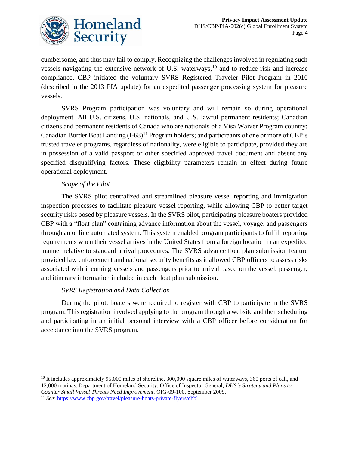

cumbersome, and thus may fail to comply. Recognizing the challenges involved in regulating such vessels navigating the extensive network of U.S. waterways,  $10$  and to reduce risk and increase compliance, CBP initiated the voluntary SVRS Registered Traveler Pilot Program in 2010 (described in the 2013 PIA update) for an expedited passenger processing system for pleasure vessels.

SVRS Program participation was voluntary and will remain so during operational deployment. All U.S. citizens, U.S. nationals, and U.S. lawful permanent residents; Canadian citizens and permanent residents of Canada who are nationals of a Visa Waiver Program country; Canadian Border Boat Landing  $(I-68)^{11}$  Program holders; and participants of one or more of CBP's trusted traveler programs, regardless of nationality, were eligible to participate, provided they are in possession of a valid passport or other specified approved travel document and absent any specified disqualifying factors. These eligibility parameters remain in effect during future operational deployment.

### *Scope of the Pilot*

1

The SVRS pilot centralized and streamlined pleasure vessel reporting and immigration inspection processes to facilitate pleasure vessel reporting, while allowing CBP to better target security risks posed by pleasure vessels. In the SVRS pilot, participating pleasure boaters provided CBP with a "float plan" containing advance information about the vessel, voyage, and passengers through an online automated system. This system enabled program participants to fulfill reporting requirements when their vessel arrives in the United States from a foreign location in an expedited manner relative to standard arrival procedures. The SVRS advance float plan submission feature provided law enforcement and national security benefits as it allowed CBP officers to assess risks associated with incoming vessels and passengers prior to arrival based on the vessel, passenger, and itinerary information included in each float plan submission.

#### *SVRS Registration and Data Collection*

During the pilot, boaters were required to register with CBP to participate in the SVRS program. This registration involved applying to the program through a website and then scheduling and participating in an initial personal interview with a CBP officer before consideration for acceptance into the SVRS program.

<sup>&</sup>lt;sup>10</sup> It includes approximately 95,000 miles of shoreline, 300,000 square miles of waterways, 360 ports of call, and 12,000 marinas. Department of Homeland Security, Office of Inspector General, *DHS's Strategy and Plans to Counter Small Vessel Threats Need Improvement,* OIG-09-100. September 2009.

<sup>11</sup> *See*: [https://www.cbp.gov/travel/pleasure-boats-private-flyers/cbbl.](https://www.cbp.gov/travel/pleasure-boats-private-flyers/cbbl)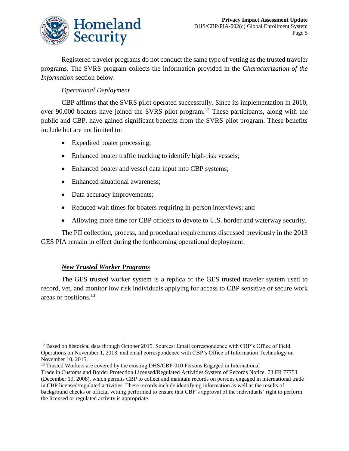

Registered traveler programs do not conduct the same type of vetting as the trusted traveler programs. The SVRS program collects the information provided in the *Characterization of the Information* section below.

### *Operational Deployment*

CBP affirms that the SVRS pilot operated successfully. Since its implementation in 2010, over 90,000 boaters have joined the SVRS pilot program.<sup>12</sup> These participants, along with the public and CBP, have gained significant benefits from the SVRS pilot program. These benefits include but are not limited to:

- Expedited boater processing;
- Enhanced boater traffic tracking to identify high-risk vessels;
- Enhanced boater and vessel data input into CBP systems;
- Enhanced situational awareness;
- Data accuracy improvements;
- Reduced wait times for boaters requiring in-person interviews; and
- Allowing more time for CBP officers to devote to U.S. border and waterway security.

The PII collection, process, and procedural requirements discussed previously in the 2013 GES PIA remain in effect during the forthcoming operational deployment.

### *New Trusted Worker Programs*

The GES trusted worker system is a replica of the GES trusted traveler system used to record, vet, and monitor low risk individuals applying for access to CBP sensitive or secure work areas or positions.<sup>13</sup>

 $\overline{a}$ <sup>12</sup> Based on historical data through October 2015. Sources: Email correspondence with CBP's Office of Field Operations on November 1, 2013, and email correspondence with CBP's Office of Information Technology on November 10, 2015.

<sup>&</sup>lt;sup>13</sup> Trusted Workers are covered by the existing DHS/CBP-010 Persons Engaged in International Trade in Customs and Border Protection Licensed/Regulated Activities System of Records Notice, 73 FR 77753 (December 19, 2008), which permits CBP to collect and maintain records on persons engaged in international trade in CBP licensed/regulated activities. These records include identifying information as well as the results of background checks or official vetting performed to ensure that CBP's approval of the individuals' right to perform the licensed or regulated activity is appropriate.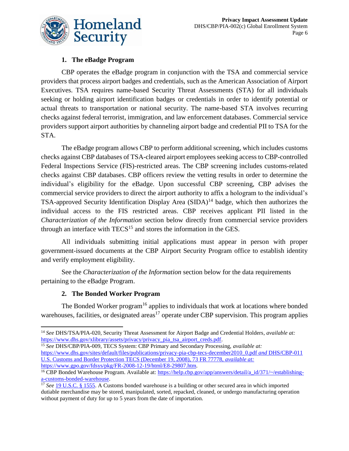

### **1. The eBadge Program**

CBP operates the eBadge program in conjunction with the TSA and commercial service providers that process airport badges and credentials, such as the American Association of Airport Executives. TSA requires name-based Security Threat Assessments (STA) for all individuals seeking or holding airport identification badges or credentials in order to identify potential or actual threats to transportation or national security. The name-based STA involves recurring checks against federal terrorist, immigration, and law enforcement databases. Commercial service providers support airport authorities by channeling airport badge and credential PII to TSA for the STA.

The eBadge program allows CBP to perform additional screening, which includes customs checks against CBP databases of TSA-cleared airport employees seeking access to CBP-controlled Federal Inspections Service (FIS)-restricted areas. The CBP screening includes customs-related checks against CBP databases. CBP officers review the vetting results in order to determine the individual's eligibility for the eBadge. Upon successful CBP screening, CBP advises the commercial service providers to direct the airport authority to affix a hologram to the individual's TSA-approved Security Identification Display Area  $(SIDA)^{14}$  badge, which then authorizes the individual access to the FIS restricted areas. CBP receives applicant PII listed in the *Characterization of the Information* section below directly from commercial service providers through an interface with  $TECS<sup>15</sup>$  and stores the information in the GES.

All individuals submitting initial applications must appear in person with proper government-issued documents at the CBP Airport Security Program office to establish identity and verify employment eligibility.

See the *Characterization of the Information* section below for the data requirements pertaining to the eBadge Program.

#### **2. The Bonded Worker Program**

The Bonded Worker program<sup>16</sup> applies to individuals that work at locations where bonded warehouses, facilities, or designated areas<sup>17</sup> operate under CBP supervision. This program applies

 $\overline{a}$ <sup>14</sup> *See* DHS/TSA/PIA-020, Security Threat Assessment for Airport Badge and Credential Holders, *available at:*  https://www.dhs.gov/xlibrary/assets/privacy/privacy\_pia\_tsa\_airport\_creds.pdf.

<sup>15</sup> *See* DHS/CBP/PIA-009, TECS System: CBP Primary and Secondary Processing, *available at:* [https://www.dhs.gov/sites/default/files/publications/privacy-pia-cbp-tecs-december2010\\_0.pdf](https://www.dhs.gov/sites/default/files/publications/privacy-pia-cbp-tecs-december2010_0.pdf%20and%20DHS/CBP-011) *and* DHS/CBP-011 U.S. Customs and Border Protection TECS (December 19, 2008), 73 FR 77778, *available at:* [https://www.gpo.gov/fdsys/pkg/FR-2008-12-19/html/E8-29807.htm.](https://www.gpo.gov/fdsys/pkg/FR-2008-12-19/html/E8-29807.htm)

<sup>&</sup>lt;sup>16</sup> CBP Bonded Warehouse Program. Available at: [https://help.cbp.gov/app/answers/detail/a\\_id/371/~/establishing](https://help.cbp.gov/app/answers/detail/a_id/371/~/establishing-a-customs-bonded-warehouse)[a-customs-bonded-warehouse.](https://help.cbp.gov/app/answers/detail/a_id/371/~/establishing-a-customs-bonded-warehouse) 

<sup>&</sup>lt;sup>17</sup> See [19 U.S.C. § 1555.](https://www.gpo.gov/fdsys/pkg/USCODE-2011-title19/pdf/USCODE-2011-title19-chap4-subtitleIII-partIV-sec1555.pdf) A Customs bonded warehouse is a building or other secured area in which imported dutiable merchandise may be stored, manipulated, sorted, repacked, cleaned, or undergo manufacturing operation without payment of duty for up to 5 years from the date of importation.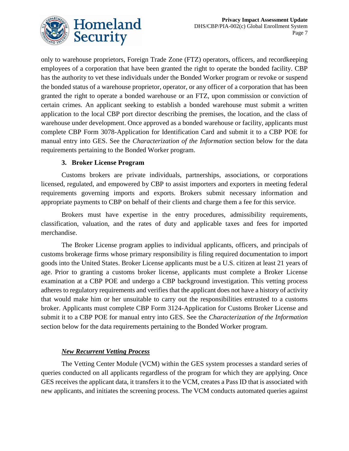

only to warehouse proprietors, Foreign Trade Zone (FTZ) operators, officers, and recordkeeping employees of a corporation that have been granted the right to operate the bonded facility. CBP has the authority to vet these individuals under the Bonded Worker program or revoke or suspend the bonded status of a warehouse proprietor, operator, or any officer of a corporation that has been granted the right to operate a bonded warehouse or an FTZ, upon commission or conviction of certain crimes. An applicant seeking to establish a bonded warehouse must submit a written application to the local CBP port director describing the premises, the location, and the class of warehouse under development. Once approved as a bonded warehouse or facility, applicants must complete CBP Form 3078-Application for Identification Card and submit it to a CBP POE for manual entry into GES. See the *Characterization of the Information* section below for the data requirements pertaining to the Bonded Worker program.

### **3. Broker License Program**

Customs brokers are private individuals, partnerships, associations, or corporations licensed, regulated, and empowered by CBP to assist importers and exporters in meeting federal requirements governing imports and exports. Brokers submit necessary information and appropriate payments to CBP on behalf of their clients and charge them a fee for this service.

Brokers must have expertise in the entry procedures, admissibility requirements, classification, valuation, and the rates of duty and applicable taxes and fees for imported merchandise.

The Broker License program applies to individual applicants, officers, and principals of customs brokerage firms whose primary responsibility is filing required documentation to import goods into the United States. Broker License applicants must be a U.S. citizen at least 21 years of age. Prior to granting a customs broker license, applicants must complete a Broker License examination at a CBP POE and undergo a CBP background investigation. This vetting process adheres to regulatory requirements and verifies that the applicant does not have a history of activity that would make him or her unsuitable to carry out the responsibilities entrusted to a customs broker. Applicants must complete CBP Form 3124-Application for Customs Broker License and submit it to a CBP POE for manual entry into GES. See the *Characterization of the Information* section below for the data requirements pertaining to the Bonded Worker program.

### *New Recurrent Vetting Process*

The Vetting Center Module (VCM) within the GES system processes a standard series of queries conducted on all applicants regardless of the program for which they are applying. Once GES receives the applicant data, it transfers it to the VCM, creates a Pass ID that is associated with new applicants, and initiates the screening process. The VCM conducts automated queries against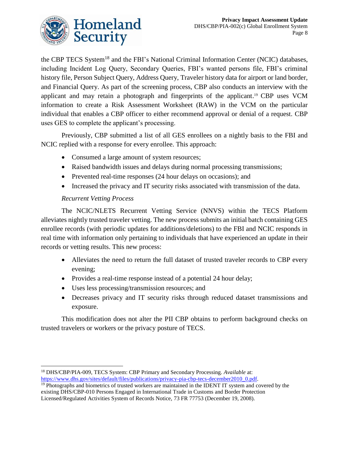

the CBP TECS System<sup>18</sup> and the FBI's National Criminal Information Center (NCIC) databases, including Incident Log Query, Secondary Queries, FBI's wanted persons file, FBI's criminal history file, Person Subject Query, Address Query, Traveler history data for airport or land border, and Financial Query. As part of the screening process, CBP also conducts an interview with the applicant and may retain a photograph and fingerprints of the applicant. <sup>19</sup> CBP uses VCM information to create a Risk Assessment Worksheet (RAW) in the VCM on the particular individual that enables a CBP officer to either recommend approval or denial of a request. CBP uses GES to complete the applicant's processing.

Previously, CBP submitted a list of all GES enrollees on a nightly basis to the FBI and NCIC replied with a response for every enrollee. This approach:

- Consumed a large amount of system resources;
- Raised bandwidth issues and delays during normal processing transmissions;
- Prevented real-time responses (24 hour delays on occasions); and
- Increased the privacy and IT security risks associated with transmission of the data.

### *Recurrent Vetting Process*

The NCIC/NLETS Recurrent Vetting Service (NNVS) within the TECS Platform alleviates nightly trusted traveler vetting. The new process submits an initial batch containing GES enrollee records (with periodic updates for additions/deletions) to the FBI and NCIC responds in real time with information only pertaining to individuals that have experienced an update in their records or vetting results. This new process:

- Alleviates the need to return the full dataset of trusted traveler records to CBP every evening;
- Provides a real-time response instead of a potential 24 hour delay;
- Uses less processing/transmission resources; and
- Decreases privacy and IT security risks through reduced dataset transmissions and exposure.

This modification does not alter the PII CBP obtains to perform background checks on trusted travelers or workers or the privacy posture of TECS.

 $\overline{a}$ <sup>18</sup> DHS/CBP/PIA-009, TECS System: CBP Primary and Secondary Processing. *Available* at: [https://www.dhs.gov/sites/default/files/publications/privacy-pia-cbp-tecs-december2010\\_0.pdf.](https://www.dhs.gov/sites/default/files/publications/privacy-pia-cbp-tecs-december2010_0.pdf)

<sup>&</sup>lt;sup>19</sup> Photographs and biometrics of trusted workers are maintained in the IDENT IT system and covered by the existing DHS/CBP-010 Persons Engaged in International Trade in Customs and Border Protection Licensed/Regulated Activities System of Records Notice, 73 FR 77753 (December 19, 2008).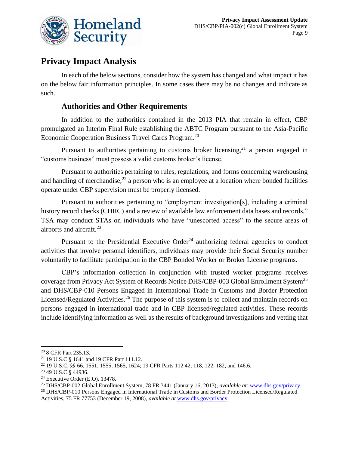

### **Privacy Impact Analysis**

In each of the below sections, consider how the system has changed and what impact it has on the below fair information principles. In some cases there may be no changes and indicate as such.

### **Authorities and Other Requirements**

In addition to the authorities contained in the 2013 PIA that remain in effect, CBP promulgated an Interim Final Rule establishing the ABTC Program pursuant to the Asia-Pacific Economic Cooperation Business Travel Cards Program.<sup>20</sup>

Pursuant to authorities pertaining to customs broker licensing,  $2<sup>1</sup>$  a person engaged in "customs business" must possess a valid customs broker's license.

Pursuant to authorities pertaining to rules, regulations, and forms concerning warehousing and handling of merchandise,  $2^2$  a person who is an employee at a location where bonded facilities operate under CBP supervision must be properly licensed.

Pursuant to authorities pertaining to "employment investigation[s], including a criminal history record checks (CHRC) and a review of available law enforcement data bases and records," TSA may conduct STAs on individuals who have "unescorted access" to the secure areas of airports and aircraft.<sup>23</sup>

Pursuant to the Presidential Executive Order<sup>24</sup> authorizing federal agencies to conduct activities that involve personal identifiers, individuals may provide their Social Security number voluntarily to facilitate participation in the CBP Bonded Worker or Broker License programs.

CBP's information collection in conjunction with trusted worker programs receives coverage from Privacy Act System of Records Notice DHS/CBP-003 Global Enrollment System<sup>25</sup> and DHS/CBP-010 Persons Engaged in International Trade in Customs and Border Protection Licensed/Regulated Activities.<sup>26</sup> The purpose of this system is to collect and maintain records on persons engaged in international trade and in CBP licensed/regulated activities. These records include identifying information as well as the results of background investigations and vetting that

 $\overline{a}$ <sup>20</sup> 8 CFR Part 235.13.

<sup>21</sup> 19 U.S.C § 1641 and 19 CFR Part 111.12.

<sup>22</sup> 19 U.S.C. §§ 66, 1551, 1555, 1565, 1624; 19 CFR Parts 112.42, 118, 122, 182, and 146.6.

<sup>23</sup> 49 U.S.C § 44936.

<sup>24</sup> Executive Order (E.O). 13478.

<sup>25</sup> DHS/CBP-002 Global Enrollment System, 78 FR 3441 (January 16, 2013), *available at:* [www.dhs.gov/privacy.](http://www.dhs.gov/privacy)

<sup>26</sup> DHS/CBP-010 Persons Engaged in International Trade in Customs and Border Protection Licensed/Regulated Activities, 75 FR 77753 (December 19, 2008), *available at* [www.dhs.gov/privacy.](http://www.dhs.gov/privacy)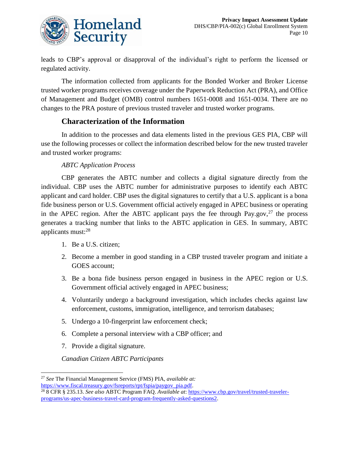

leads to CBP's approval or disapproval of the individual's right to perform the licensed or regulated activity.

The information collected from applicants for the Bonded Worker and Broker License trusted worker programs receives coverage under the Paperwork Reduction Act (PRA), and Office of Management and Budget (OMB) control numbers 1651-0008 and 1651-0034. There are no changes to the PRA posture of previous trusted traveler and trusted worker programs.

### **Characterization of the Information**

In addition to the processes and data elements listed in the previous GES PIA, CBP will use the following processes or collect the information described below for the new trusted traveler and trusted worker programs:

### *ABTC Application Process*

CBP generates the ABTC number and collects a digital signature directly from the individual. CBP uses the ABTC number for administrative purposes to identify each ABTC applicant and card holder. CBP uses the digital signatures to certify that a U.S. applicant is a bona fide business person or U.S. Government official actively engaged in APEC business or operating in the APEC region. After the ABTC applicant pays the fee through Pay.gov, $27$  the process generates a tracking number that links to the ABTC application in GES. In summary, ABTC applicants must:<sup>28</sup>

- 1. Be a U.S. citizen;
- 2. Become a member in good standing in a CBP trusted traveler program and initiate a GOES account;
- 3. Be a bona fide business person engaged in business in the APEC region or U.S. Government official actively engaged in APEC business;
- 4. Voluntarily undergo a background investigation, which includes checks against law enforcement, customs, immigration, intelligence, and terrorism databases;
- 5. Undergo a 10-fingerprint law enforcement check;
- 6. Complete a personal interview with a CBP officer; and
- 7. Provide a digital signature.

1

*Canadian Citizen ABTC Participants*

<sup>27</sup> *See* The Financial Management Service (FMS) PIA, *available at:*

[https://www.fiscal.treasury.gov/fsreports/rpt/fspia/paygov\\_pia.pdf.](https://www.fiscal.treasury.gov/fsreports/rpt/fspia/paygov_pia.pdf)

<sup>28</sup> 8 CFR § 235.13. *See also* ABTC Program FAQ. *Available at*[: https://www.cbp.gov/travel/trusted-traveler](https://www.cbp.gov/travel/trusted-traveler-programs/us-apec-business-travel-card-program-frequently-asked-questions2)[programs/us-apec-business-travel-card-program-frequently-asked-questions2.](https://www.cbp.gov/travel/trusted-traveler-programs/us-apec-business-travel-card-program-frequently-asked-questions2)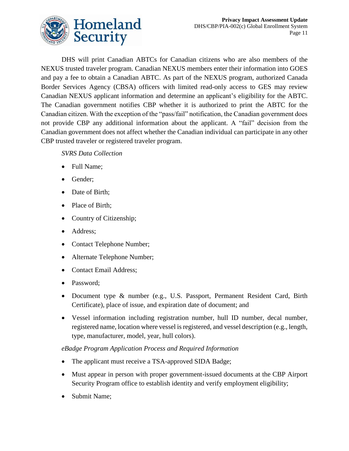

DHS will print Canadian ABTCs for Canadian citizens who are also members of the NEXUS trusted traveler program. Canadian NEXUS members enter their information into GOES and pay a fee to obtain a Canadian ABTC. As part of the NEXUS program, authorized Canada Border Services Agency (CBSA) officers with limited read-only access to GES may review Canadian NEXUS applicant information and determine an applicant's eligibility for the ABTC. The Canadian government notifies CBP whether it is authorized to print the ABTC for the Canadian citizen. With the exception of the "pass/fail" notification, the Canadian government does not provide CBP any additional information about the applicant. A "fail" decision from the Canadian government does not affect whether the Canadian individual can participate in any other CBP trusted traveler or registered traveler program.

#### *SVRS Data Collection*

- Full Name;
- Gender;
- Date of Birth;
- Place of Birth;
- Country of Citizenship;
- Address;
- Contact Telephone Number;
- Alternate Telephone Number;
- Contact Email Address;
- Password;
- Document type & number (e.g., U.S. Passport, Permanent Resident Card, Birth Certificate), place of issue, and expiration date of document; and
- Vessel information including registration number, hull ID number, decal number, registered name, location where vessel is registered, and vessel description (e.g., length, type, manufacturer, model, year, hull colors).

#### *eBadge Program Application Process and Required Information*

- The applicant must receive a TSA-approved SIDA Badge;
- Must appear in person with proper government-issued documents at the CBP Airport Security Program office to establish identity and verify employment eligibility;
- Submit Name;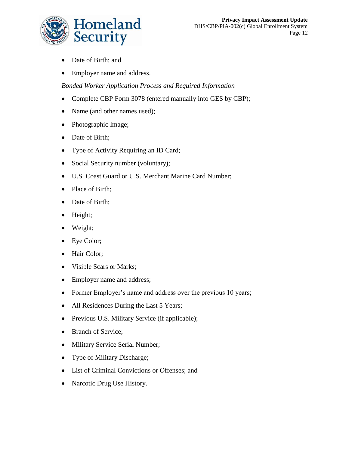

- Date of Birth; and
- Employer name and address.

### *Bonded Worker Application Process and Required Information*

- Complete CBP Form 3078 (entered manually into GES by CBP);
- Name (and other names used);
- Photographic Image;
- Date of Birth;
- Type of Activity Requiring an ID Card;
- Social Security number (voluntary);
- U.S. Coast Guard or U.S. Merchant Marine Card Number;
- Place of Birth;
- Date of Birth;
- Height;
- Weight;
- Eye Color;
- Hair Color;
- Visible Scars or Marks;
- Employer name and address;
- Former Employer's name and address over the previous 10 years;
- All Residences During the Last 5 Years;
- Previous U.S. Military Service (if applicable);
- Branch of Service;
- Military Service Serial Number;
- Type of Military Discharge;
- List of Criminal Convictions or Offenses; and
- Narcotic Drug Use History.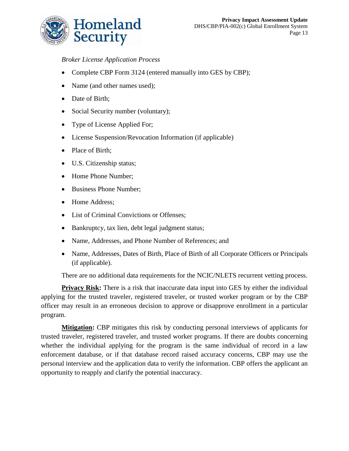

### *Broker License Application Process*

- Complete CBP Form 3124 (entered manually into GES by CBP);
- Name (and other names used);
- Date of Birth;
- Social Security number (voluntary);
- Type of License Applied For;
- License Suspension/Revocation Information (if applicable)
- Place of Birth;
- U.S. Citizenship status;
- Home Phone Number;
- Business Phone Number;
- Home Address;
- List of Criminal Convictions or Offenses;
- Bankruptcy, tax lien, debt legal judgment status;
- Name, Addresses, and Phone Number of References; and
- Name, Addresses, Dates of Birth, Place of Birth of all Corporate Officers or Principals (if applicable).

There are no additional data requirements for the NCIC/NLETS recurrent vetting process.

**Privacy Risk:** There is a risk that inaccurate data input into GES by either the individual applying for the trusted traveler, registered traveler, or trusted worker program or by the CBP officer may result in an erroneous decision to approve or disapprove enrollment in a particular program.

**Mitigation:** CBP mitigates this risk by conducting personal interviews of applicants for trusted traveler, registered traveler, and trusted worker programs. If there are doubts concerning whether the individual applying for the program is the same individual of record in a law enforcement database, or if that database record raised accuracy concerns, CBP may use the personal interview and the application data to verify the information. CBP offers the applicant an opportunity to reapply and clarify the potential inaccuracy.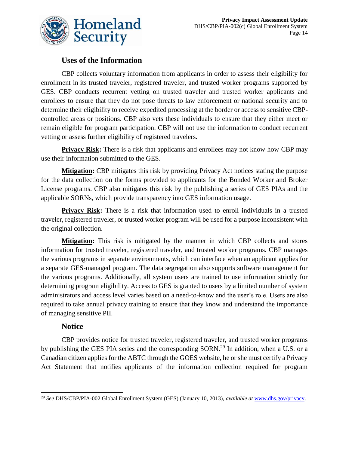

### **Uses of the Information**

CBP collects voluntary information from applicants in order to assess their eligibility for enrollment in its trusted traveler, registered traveler, and trusted worker programs supported by GES. CBP conducts recurrent vetting on trusted traveler and trusted worker applicants and enrollees to ensure that they do not pose threats to law enforcement or national security and to determine their eligibility to receive expedited processing at the border or access to sensitive CBPcontrolled areas or positions. CBP also vets these individuals to ensure that they either meet or remain eligible for program participation. CBP will not use the information to conduct recurrent vetting or assess further eligibility of registered travelers.

**Privacy Risk:** There is a risk that applicants and enrollees may not know how CBP may use their information submitted to the GES.

**Mitigation:** CBP mitigates this risk by providing Privacy Act notices stating the purpose for the data collection on the forms provided to applicants for the Bonded Worker and Broker License programs. CBP also mitigates this risk by the publishing a series of GES PIAs and the applicable SORNs, which provide transparency into GES information usage.

**Privacy Risk:** There is a risk that information used to enroll individuals in a trusted traveler, registered traveler, or trusted worker program will be used for a purpose inconsistent with the original collection.

**Mitigation:** This risk is mitigated by the manner in which CBP collects and stores information for trusted traveler, registered traveler, and trusted worker programs. CBP manages the various programs in separate environments, which can interface when an applicant applies for a separate GES-managed program. The data segregation also supports software management for the various programs. Additionally, all system users are trained to use information strictly for determining program eligibility. Access to GES is granted to users by a limited number of system administrators and access level varies based on a need-to-know and the user's role. Users are also required to take annual privacy training to ensure that they know and understand the importance of managing sensitive PII.

### **Notice**

 $\overline{a}$ 

CBP provides notice for trusted traveler, registered traveler, and trusted worker programs by publishing the GES PIA series and the corresponding SORN.<sup>29</sup> In addition, when a U.S. or a Canadian citizen applies for the ABTC through the GOES website, he or she must certify a Privacy Act Statement that notifies applicants of the information collection required for program

<sup>29</sup> *See* DHS/CBP/PIA-002 Global Enrollment System (GES) (January 10, 2013), *available at* [www.dhs.gov/privacy.](http://www.dhs.gov/privacy)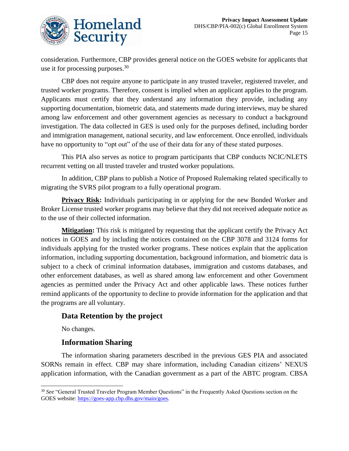

consideration. Furthermore, CBP provides general notice on the GOES website for applicants that use it for processing purposes.<sup>30</sup>

CBP does not require anyone to participate in any trusted traveler, registered traveler, and trusted worker programs. Therefore, consent is implied when an applicant applies to the program. Applicants must certify that they understand any information they provide, including any supporting documentation, biometric data, and statements made during interviews, may be shared among law enforcement and other government agencies as necessary to conduct a background investigation. The data collected in GES is used only for the purposes defined, including border and immigration management, national security, and law enforcement. Once enrolled, individuals have no opportunity to "opt out" of the use of their data for any of these stated purposes.

This PIA also serves as notice to program participants that CBP conducts NCIC/NLETS recurrent vetting on all trusted traveler and trusted worker populations.

In addition, CBP plans to publish a Notice of Proposed Rulemaking related specifically to migrating the SVRS pilot program to a fully operational program.

**Privacy Risk:** Individuals participating in or applying for the new Bonded Worker and Broker License trusted worker programs may believe that they did not received adequate notice as to the use of their collected information.

**Mitigation:** This risk is mitigated by requesting that the applicant certify the Privacy Act notices in GOES and by including the notices contained on the CBP 3078 and 3124 forms for individuals applying for the trusted worker programs. These notices explain that the application information, including supporting documentation, background information, and biometric data is subject to a check of criminal information databases, immigration and customs databases, and other enforcement databases, as well as shared among law enforcement and other Government agencies as permitted under the Privacy Act and other applicable laws. These notices further remind applicants of the opportunity to decline to provide information for the application and that the programs are all voluntary.

### **Data Retention by the project**

No changes.

### **Information Sharing**

The information sharing parameters described in the previous GES PIA and associated SORNs remain in effect. CBP may share information, including Canadian citizens' NEXUS application information, with the Canadian government as a part of the ABTC program. CBSA

 $\overline{a}$ <sup>30</sup> See "General Trusted Traveler Program Member Questions" in the Frequently Asked Questions section on the GOES website: [https://goes-app.cbp.dhs.gov/main/goes.](https://goes-app.cbp.dhs.gov/main/goes)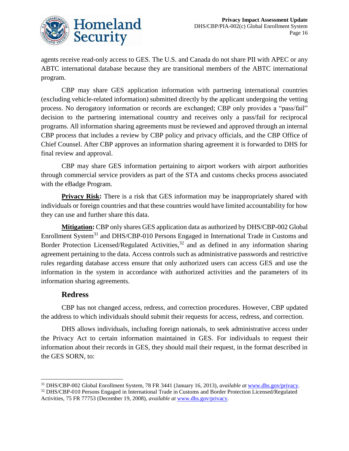

agents receive read-only access to GES. The U.S. and Canada do not share PII with APEC or any ABTC international database because they are transitional members of the ABTC international program.

CBP may share GES application information with partnering international countries (excluding vehicle-related information) submitted directly by the applicant undergoing the vetting process. No derogatory information or records are exchanged; CBP only provides a "pass/fail" decision to the partnering international country and receives only a pass/fail for reciprocal programs. All information sharing agreements must be reviewed and approved through an internal CBP process that includes a review by CBP policy and privacy officials, and the CBP Office of Chief Counsel. After CBP approves an information sharing agreement it is forwarded to DHS for final review and approval.

CBP may share GES information pertaining to airport workers with airport authorities through commercial service providers as part of the STA and customs checks process associated with the eBadge Program.

**Privacy Risk:** There is a risk that GES information may be inappropriately shared with individuals or foreign countries and that these countries would have limited accountability for how they can use and further share this data.

**Mitigation:** CBP only shares GES application data as authorized by DHS/CBP-002 Global Enrollment System<sup>31</sup> and DHS/CBP-010 Persons Engaged in International Trade in Customs and Border Protection Licensed/Regulated Activities,<sup>32</sup> and as defined in any information sharing agreement pertaining to the data. Access controls such as administrative passwords and restrictive rules regarding database access ensure that only authorized users can access GES and use the information in the system in accordance with authorized activities and the parameters of its information sharing agreements.

### **Redress**

CBP has not changed access, redress, and correction procedures. However, CBP updated the address to which individuals should submit their requests for access, redress, and correction.

DHS allows individuals, including foreign nationals, to seek administrative access under the Privacy Act to certain information maintained in GES. For individuals to request their information about their records in GES, they should mail their request, in the format described in the GES SORN, to:

 $\overline{a}$ <sup>31</sup> DHS/CBP-002 Global Enrollment System, 78 FR 3441 (January 16, 2013), *available at* [www.dhs.gov/privacy.](http://www.dhs.gov/privacy) 

<sup>&</sup>lt;sup>32</sup> DHS/CBP-010 Persons Engaged in International Trade in Customs and Border Protection Licensed/Regulated Activities, 75 FR 77753 (December 19, 2008), *available at* [www.dhs.gov/privacy.](http://www.dhs.gov/privacy)